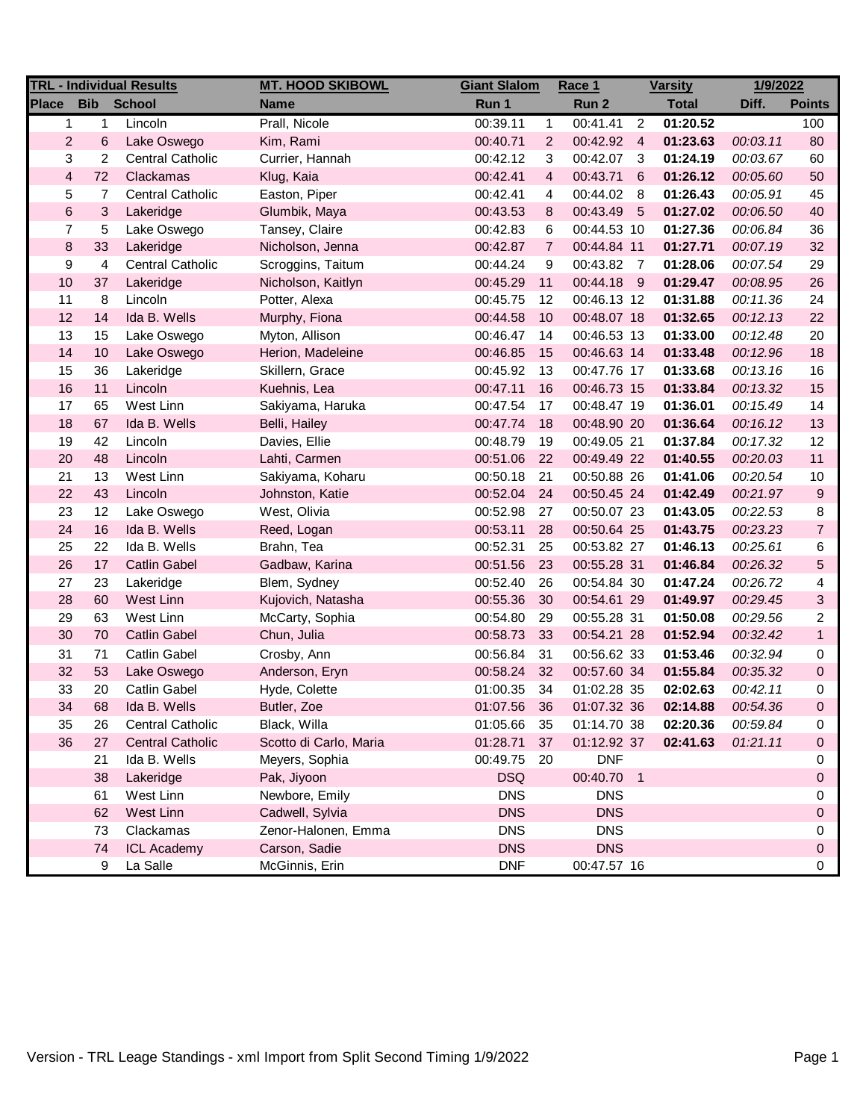| <b>TRL - Individual Results</b> |                             |                         | <b>MT. HOOD SKIBOWL</b> | <b>Giant Slalom</b> |                | Race 1        |                | <b>Varsity</b> | 1/9/2022 |                  |
|---------------------------------|-----------------------------|-------------------------|-------------------------|---------------------|----------------|---------------|----------------|----------------|----------|------------------|
| <b>Place</b>                    | <b>Bib</b><br><b>School</b> |                         | <b>Name</b>             | Run 1               |                | Run 2         |                | <b>Total</b>   | Diff.    | <b>Points</b>    |
| 1                               | 1                           | Lincoln                 | Prall, Nicole           | 00:39.11            | $\mathbf{1}$   | 00:41.41      | $\overline{2}$ | 01:20.52       |          | 100              |
| $\overline{2}$                  | 6                           | Lake Oswego             | Kim, Rami               | 00:40.71            | 2              | 00:42.92 4    |                | 01:23.63       | 00:03.11 | 80               |
| 3                               | $\overline{c}$              | <b>Central Catholic</b> | Currier, Hannah         | 00:42.12            | 3              | 00:42.07      | -3             | 01:24.19       | 00:03.67 | 60               |
| $\overline{\mathbf{4}}$         | 72                          | Clackamas               | Klug, Kaia              | 00:42.41            | 4              | 00:43.71      | 6              | 01:26.12       | 00:05.60 | 50               |
| 5                               | 7                           | <b>Central Catholic</b> | Easton, Piper           | 00:42.41            | 4              | 00:44.02      | - 8            | 01:26.43       | 00:05.91 | 45               |
| 6                               | $\sqrt{3}$                  | Lakeridge               | Glumbik, Maya           | 00:43.53            | 8              | 00:43.49      | - 5            | 01:27.02       | 00:06.50 | 40               |
| $\overline{7}$                  | $\sqrt{5}$                  | Lake Oswego             | Tansey, Claire          | 00:42.83            | 6              | 00:44.53 10   |                | 01:27.36       | 00:06.84 | 36               |
| $\bf8$                          | 33                          | Lakeridge               | Nicholson, Jenna        | 00:42.87            | $\overline{7}$ | 00:44.84 11   |                | 01:27.71       | 00:07.19 | 32               |
| 9                               | 4                           | <b>Central Catholic</b> | Scroggins, Taitum       | 00:44.24            | 9              | 00:43.82      | $\overline{7}$ | 01:28.06       | 00:07.54 | 29               |
| 10                              | 37                          | Lakeridge               | Nicholson, Kaitlyn      | 00:45.29            | 11             | 00:44.18 9    |                | 01:29.47       | 00:08.95 | 26               |
| 11                              | 8                           | Lincoln                 | Potter, Alexa           | 00:45.75            | 12             | 00:46.13 12   |                | 01:31.88       | 00:11.36 | 24               |
| 12                              | 14                          | Ida B. Wells            | Murphy, Fiona           | 00:44.58            | 10             | 00:48.07 18   |                | 01:32.65       | 00:12.13 | 22               |
| 13                              | 15                          | Lake Oswego             | Myton, Allison          | 00:46.47            | 14             | 00:46.53 13   |                | 01:33.00       | 00:12.48 | 20               |
| 14                              | 10                          | Lake Oswego             | Herion, Madeleine       | 00:46.85            | 15             | 00:46.63 14   |                | 01:33.48       | 00:12.96 | 18               |
| 15                              | 36                          | Lakeridge               | Skillern, Grace         | 00:45.92            | 13             | 00:47.76 17   |                | 01:33.68       | 00:13.16 | 16               |
| $16$                            | 11                          | Lincoln                 | Kuehnis, Lea            | 00:47.11            | 16             | 00:46.73 15   |                | 01:33.84       | 00:13.32 | 15               |
| 17                              | 65                          | West Linn               | Sakiyama, Haruka        | 00:47.54            | 17             | 00:48.47 19   |                | 01:36.01       | 00:15.49 | 14               |
| 18                              | 67                          | Ida B. Wells            | Belli, Hailey           | 00:47.74            | 18             | 00:48.90 20   |                | 01:36.64       | 00:16.12 | 13               |
| 19                              | 42                          | Lincoln                 | Davies, Ellie           | 00:48.79            | 19             | 00:49.05 21   |                | 01:37.84       | 00:17.32 | 12               |
| 20                              | 48                          | Lincoln                 | Lahti, Carmen           | 00:51.06            | 22             | 00:49.49 22   |                | 01:40.55       | 00:20.03 | 11               |
| 21                              | 13                          | West Linn               | Sakiyama, Koharu        | 00:50.18            | 21             | 00:50.88 26   |                | 01:41.06       | 00:20.54 | $10$             |
| 22                              | 43                          | Lincoln                 | Johnston, Katie         | 00:52.04            | 24             | 00:50.45 24   |                | 01:42.49       | 00:21.97 | $\boldsymbol{9}$ |
| 23                              | 12                          | Lake Oswego             | West, Olivia            | 00:52.98            | 27             | 00:50.07 23   |                | 01:43.05       | 00:22.53 | 8                |
| 24                              | 16                          | Ida B. Wells            | Reed, Logan             | 00:53.11            | 28             | 00:50.64 25   |                | 01:43.75       | 00:23.23 | $\overline{7}$   |
| 25                              | 22                          | Ida B. Wells            | Brahn, Tea              | 00:52.31            | 25             | 00:53.82 27   |                | 01:46.13       | 00:25.61 | 6                |
| 26                              | 17                          | <b>Catlin Gabel</b>     | Gadbaw, Karina          | 00:51.56            | 23             | 00:55.28 31   |                | 01:46.84       | 00:26.32 | 5                |
| 27                              | 23                          | Lakeridge               | Blem, Sydney            | 00:52.40            | 26             | 00:54.84 30   |                | 01:47.24       | 00:26.72 | 4                |
| 28                              | 60                          | West Linn               | Kujovich, Natasha       | 00:55.36            | 30             | 00:54.61 29   |                | 01:49.97       | 00:29.45 | $\mathbf{3}$     |
| 29                              | 63                          | West Linn               | McCarty, Sophia         | 00:54.80            | 29             | 00:55.28 31   |                | 01:50.08       | 00:29.56 | 2                |
| 30                              | 70                          | <b>Catlin Gabel</b>     | Chun, Julia             | 00:58.73            | 33             | 00:54.21 28   |                | 01:52.94       | 00:32.42 | $\mathbf{1}$     |
| 31                              | 71                          | <b>Catlin Gabel</b>     | Crosby, Ann             | 00:56.84            | 31             | 00:56.62 33   |                | 01:53.46       | 00:32.94 | 0                |
| 32                              | 53                          | Lake Oswego             | Anderson, Eryn          | 00:58.24            | 32             | 00:57.60 34   |                | 01:55.84       | 00:35.32 | $\pmb{0}$        |
| 33                              | 20                          | <b>Catlin Gabel</b>     | Hyde, Colette           | 01:00.35            | 34             | 01:02.28 35   |                | 02:02.63       | 00:42.11 | 0                |
| 34                              | 68                          | Ida B. Wells            | Butler, Zoe             | 01:07.56            | 36             | $01:07.32$ 36 |                | 02:14.88       | 00:54.36 | 0                |
| 35                              | 26                          | <b>Central Catholic</b> | Black, Willa            | 01:05.66            | 35             | 01:14.70 38   |                | 02:20.36       | 00:59.84 | 0                |
| 36                              | 27                          | <b>Central Catholic</b> | Scotto di Carlo, Maria  | 01:28.71            | 37             | 01:12.92 37   |                | 02:41.63       | 01:21.11 | 0                |
|                                 | 21                          | Ida B. Wells            | Meyers, Sophia          | 00:49.75            | 20             | <b>DNF</b>    |                |                |          | 0                |
|                                 | 38                          | Lakeridge               | Pak, Jiyoon             | <b>DSQ</b>          |                | 00:40.70      | $\overline{1}$ |                |          | 0                |
|                                 | 61                          | West Linn               | Newbore, Emily          | <b>DNS</b>          |                | <b>DNS</b>    |                |                |          | 0                |
|                                 | 62                          | West Linn               | Cadwell, Sylvia         | <b>DNS</b>          |                | <b>DNS</b>    |                |                |          | 0                |
|                                 | 73                          | Clackamas               | Zenor-Halonen, Emma     | <b>DNS</b>          |                | <b>DNS</b>    |                |                |          | 0                |
|                                 | 74                          | <b>ICL Academy</b>      | Carson, Sadie           | <b>DNS</b>          |                | <b>DNS</b>    |                |                |          | 0                |
|                                 | 9                           | La Salle                | McGinnis, Erin          | <b>DNF</b>          |                | 00:47.57 16   |                |                |          | 0                |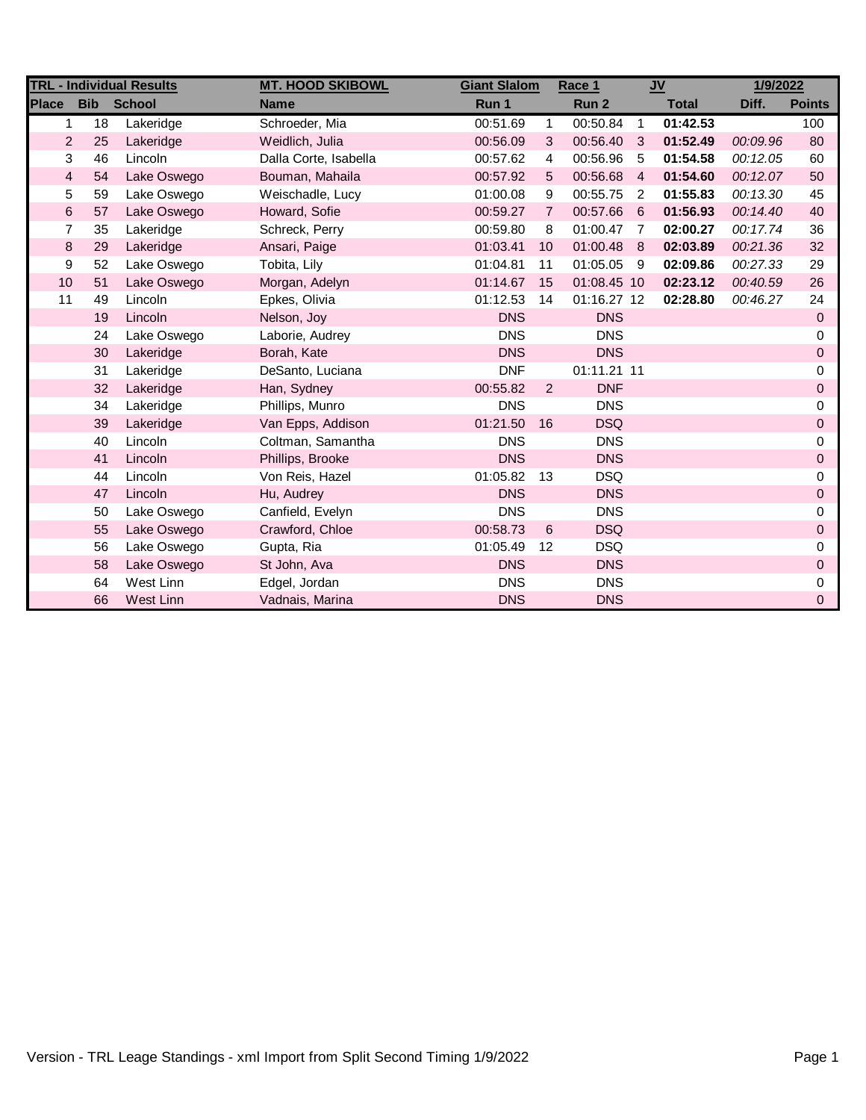| <b>TRL - Individual Results</b> |            |               | <b>MT. HOOD SKIBOWL</b> | <b>Giant Slalom</b> |                | Race 1      |                | $u$          | 1/9/2022 |               |
|---------------------------------|------------|---------------|-------------------------|---------------------|----------------|-------------|----------------|--------------|----------|---------------|
| <b>Place</b>                    | <b>Bib</b> | <b>School</b> | <b>Name</b>             | Run 1               |                | Run 2       |                | <b>Total</b> | Diff.    | <b>Points</b> |
| 1                               | 18         | Lakeridge     | Schroeder, Mia          | 00:51.69            | $\mathbf{1}$   | 00:50.84    | $\overline{1}$ | 01:42.53     |          | 100           |
| $\overline{2}$                  | 25         | Lakeridge     | Weidlich, Julia         | 00:56.09            | 3              | 00:56.40    | -3             | 01:52.49     | 00:09.96 | 80            |
| 3                               | 46         | Lincoln       | Dalla Corte, Isabella   | 00:57.62            | 4              | 00:56.96    | -5             | 01:54.58     | 00:12.05 | 60            |
| 4                               | 54         | Lake Oswego   | Bouman, Mahaila         | 00:57.92            | 5              | 00:56.68    | $\overline{4}$ | 01:54.60     | 00:12.07 | 50            |
| 5                               | 59         | Lake Oswego   | Weischadle, Lucy        | 01:00.08            | 9              | 00:55.75    | $\overline{2}$ | 01:55.83     | 00:13.30 | 45            |
| 6                               | 57         | Lake Oswego   | Howard, Sofie           | 00:59.27            | $\overline{7}$ | 00:57.66    | - 6            | 01:56.93     | 00:14.40 | 40            |
| 7                               | 35         | Lakeridge     | Schreck, Perry          | 00:59.80            | 8              | 01:00.47    | $\overline{7}$ | 02:00.27     | 00:17.74 | 36            |
| 8                               | 29         | Lakeridge     | Ansari, Paige           | 01:03.41            | 10             | 01:00.48 8  |                | 02:03.89     | 00:21.36 | 32            |
| 9                               | 52         | Lake Oswego   | Tobita, Lily            | 01:04.81            | 11             | 01:05.05    | - 9            | 02:09.86     | 00:27.33 | 29            |
| 10                              | 51         | Lake Oswego   | Morgan, Adelyn          | 01:14.67            | 15             | 01:08.45 10 |                | 02:23.12     | 00:40.59 | 26            |
| 11                              | 49         | Lincoln       | Epkes, Olivia           | 01:12.53            | 14             | 01:16.27 12 |                | 02:28.80     | 00:46.27 | 24            |
|                                 | 19         | Lincoln       | Nelson, Joy             | <b>DNS</b>          |                | <b>DNS</b>  |                |              |          | $\mathbf 0$   |
|                                 | 24         | Lake Oswego   | Laborie, Audrey         | <b>DNS</b>          |                | <b>DNS</b>  |                |              |          | 0             |
|                                 | 30         | Lakeridge     | Borah, Kate             | <b>DNS</b>          |                | <b>DNS</b>  |                |              |          | $\Omega$      |
|                                 | 31         | Lakeridge     | DeSanto, Luciana        | <b>DNF</b>          |                | 01:11.21 11 |                |              |          | 0             |
|                                 | 32         | Lakeridge     | Han, Sydney             | 00:55.82            | $\overline{2}$ | <b>DNF</b>  |                |              |          | $\Omega$      |
|                                 | 34         | Lakeridge     | Phillips, Munro         | <b>DNS</b>          |                | <b>DNS</b>  |                |              |          | 0             |
|                                 | 39         | Lakeridge     | Van Epps, Addison       | 01:21.50            | 16             | <b>DSQ</b>  |                |              |          | $\Omega$      |
|                                 | 40         | Lincoln       | Coltman, Samantha       | <b>DNS</b>          |                | <b>DNS</b>  |                |              |          | 0             |
|                                 | 41         | Lincoln       | Phillips, Brooke        | <b>DNS</b>          |                | <b>DNS</b>  |                |              |          | $\Omega$      |
|                                 | 44         | Lincoln       | Von Reis, Hazel         | 01:05.82            | 13             | <b>DSQ</b>  |                |              |          | 0             |
|                                 | 47         | Lincoln       | Hu, Audrey              | <b>DNS</b>          |                | <b>DNS</b>  |                |              |          | 0             |
|                                 | 50         | Lake Oswego   | Canfield, Evelyn        | <b>DNS</b>          |                | <b>DNS</b>  |                |              |          | 0             |
|                                 | 55         | Lake Oswego   | Crawford, Chloe         | 00:58.73            | 6              | <b>DSQ</b>  |                |              |          | $\Omega$      |
|                                 | 56         | Lake Oswego   | Gupta, Ria              | 01:05.49            | 12             | <b>DSQ</b>  |                |              |          | 0             |
|                                 | 58         | Lake Oswego   | St John, Ava            | <b>DNS</b>          |                | <b>DNS</b>  |                |              |          | $\Omega$      |
|                                 | 64         | West Linn     | Edgel, Jordan           | <b>DNS</b>          |                | <b>DNS</b>  |                |              |          | 0             |
|                                 | 66         | West Linn     | Vadnais, Marina         | <b>DNS</b>          |                | <b>DNS</b>  |                |              |          | 0             |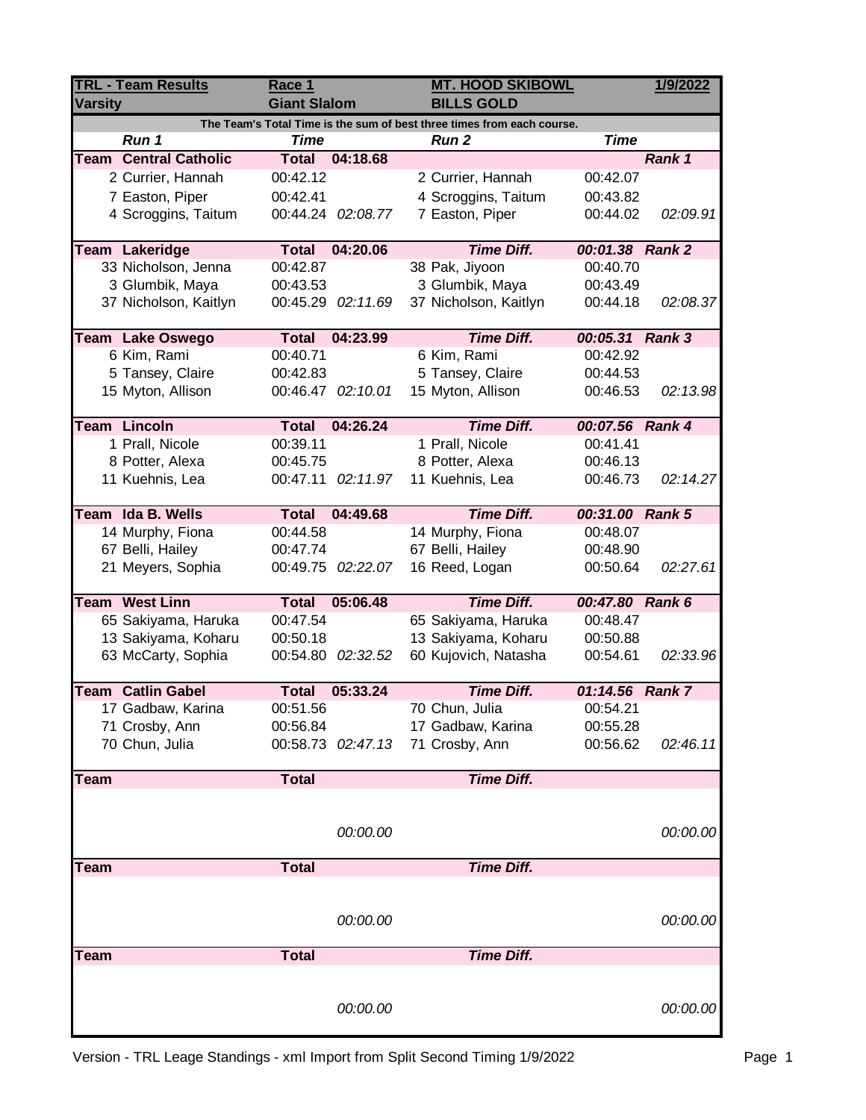| <b>TRL - Team Results</b><br><b>Varsity</b> |                              | Race 1<br><b>Giant Slalom</b> |                   | <b>MT. HOOD SKIBOWL</b><br><b>BILLS GOLD</b>                           | 1/9/2022        |          |
|---------------------------------------------|------------------------------|-------------------------------|-------------------|------------------------------------------------------------------------|-----------------|----------|
|                                             |                              |                               |                   | The Team's Total Time is the sum of best three times from each course. |                 |          |
|                                             | Run 1                        | Time                          |                   | <b>Run 2</b>                                                           | <b>Time</b>     |          |
|                                             | <b>Team Central Catholic</b> | Total                         | 04:18.68          |                                                                        |                 | Rank 1   |
|                                             | 2 Currier, Hannah            | 00:42.12                      |                   | 2 Currier, Hannah                                                      | 00:42.07        |          |
|                                             | 7 Easton, Piper              | 00:42.41                      |                   | 4 Scroggins, Taitum                                                    | 00:43.82        |          |
|                                             | 4 Scroggins, Taitum          |                               | 00:44.24 02:08.77 | 7 Easton, Piper                                                        | 00:44.02        | 02:09.91 |
|                                             | Team Lakeridge               | <b>Total</b>                  | 04:20.06          | <b>Time Diff.</b>                                                      | 00:01.38 Rank 2 |          |
|                                             | 33 Nicholson, Jenna          | 00:42.87                      |                   | 38 Pak, Jiyoon                                                         | 00:40.70        |          |
|                                             | 3 Glumbik, Maya              | 00:43.53                      |                   | 3 Glumbik, Maya                                                        | 00:43.49        |          |
|                                             | 37 Nicholson, Kaitlyn        |                               | 00:45.29 02:11.69 | 37 Nicholson, Kaitlyn                                                  | 00:44.18        | 02:08.37 |
|                                             | Team Lake Oswego             | <b>Total</b>                  | 04:23.99          | <b>Time Diff.</b>                                                      | 00:05.31 Rank 3 |          |
|                                             | 6 Kim, Rami                  | 00:40.71                      |                   | 6 Kim, Rami                                                            | 00:42.92        |          |
|                                             | 5 Tansey, Claire             | 00:42.83                      |                   | 5 Tansey, Claire                                                       | 00:44.53        |          |
|                                             | 15 Myton, Allison            |                               | 00:46.47 02:10.01 | 15 Myton, Allison                                                      | 00:46.53        | 02:13.98 |
|                                             |                              |                               |                   |                                                                        |                 |          |
|                                             | <b>Team Lincoln</b>          | <b>Total</b>                  | 04:26.24          | <b>Time Diff.</b>                                                      | 00:07.56 Rank 4 |          |
|                                             | 1 Prall, Nicole              | 00:39.11                      |                   | 1 Prall, Nicole                                                        | 00:41.41        |          |
|                                             | 8 Potter, Alexa              | 00:45.75                      |                   | 8 Potter, Alexa                                                        | 00:46.13        |          |
|                                             | 11 Kuehnis, Lea              | 00:47.11                      | 02:11.97          | 11 Kuehnis, Lea                                                        | 00:46.73        | 02:14.27 |
|                                             |                              |                               |                   |                                                                        |                 |          |
|                                             | Team Ida B. Wells            | <b>Total</b>                  | 04:49.68          | <b>Time Diff.</b>                                                      | 00:31.00 Rank 5 |          |
|                                             | 14 Murphy, Fiona             | 00:44.58                      |                   | 14 Murphy, Fiona                                                       | 00:48.07        |          |
|                                             | 67 Belli, Hailey             | 00:47.74                      |                   | 67 Belli, Hailey                                                       | 00:48.90        |          |
|                                             | 21 Meyers, Sophia            | 00:49.75                      | 02:22.07          | 16 Reed, Logan                                                         | 00:50.64        | 02:27.61 |
|                                             | Team West Linn               | <b>Total</b>                  | 05:06.48          | <b>Time Diff.</b>                                                      | 00:47.80 Rank 6 |          |
|                                             | 65 Sakiyama, Haruka          | 00:47.54                      |                   | 65 Sakiyama, Haruka                                                    | 00:48.47        |          |
|                                             | 13 Sakiyama, Koharu          | 00:50.18                      |                   | 13 Sakiyama, Koharu                                                    | 00:50.88        |          |
|                                             | 63 McCarty, Sophia           |                               | 00:54.80 02:32.52 | 60 Kujovich, Natasha                                                   | 00:54.61        | 02:33.96 |
|                                             |                              |                               |                   |                                                                        |                 |          |
|                                             | <b>Team Catlin Gabel</b>     | <b>Total</b>                  | 05:33.24          | <b>Time Diff.</b>                                                      | 01:14.56 Rank 7 |          |
|                                             | 17 Gadbaw, Karina            | 00:51.56                      |                   | 70 Chun, Julia                                                         | 00:54.21        |          |
|                                             | 71 Crosby, Ann               | 00:56.84                      |                   | 17 Gadbaw, Karina                                                      | 00:55.28        |          |
|                                             | 70 Chun, Julia               |                               | 00:58.73 02:47.13 | 71 Crosby, Ann                                                         | 00:56.62        | 02:46.11 |
|                                             |                              |                               |                   |                                                                        |                 |          |
| Team                                        |                              | <b>Total</b>                  |                   | <b>Time Diff.</b>                                                      |                 |          |
|                                             |                              |                               |                   |                                                                        |                 |          |
|                                             |                              |                               | 00:00.00          |                                                                        |                 | 00:00.00 |
|                                             |                              |                               |                   |                                                                        |                 |          |
| <b>Team</b>                                 |                              | <b>Total</b>                  |                   | <b>Time Diff.</b>                                                      |                 |          |
|                                             |                              |                               |                   |                                                                        |                 |          |
|                                             |                              |                               |                   |                                                                        |                 |          |
|                                             |                              |                               | 00:00.00          |                                                                        |                 | 00:00.00 |
|                                             |                              |                               |                   |                                                                        |                 |          |
| Team                                        |                              | <b>Total</b>                  |                   | <b>Time Diff.</b>                                                      |                 |          |
|                                             |                              |                               |                   |                                                                        |                 |          |
|                                             |                              |                               |                   |                                                                        |                 |          |
|                                             |                              |                               | 00:00.00          |                                                                        |                 | 00:00.00 |
|                                             |                              |                               |                   |                                                                        |                 |          |